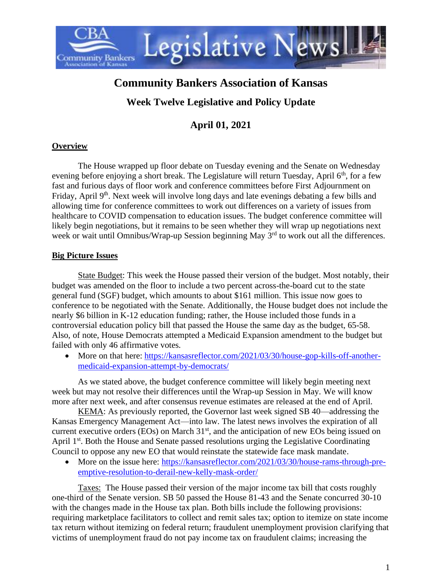

# **Community Bankers Association of Kansas**

## **Week Twelve Legislative and Policy Update**

## **April 01, 2021**

#### **Overview**

The House wrapped up floor debate on Tuesday evening and the Senate on Wednesday evening before enjoying a short break. The Legislature will return Tuesday, April 6<sup>th</sup>, for a few fast and furious days of floor work and conference committees before First Adjournment on Friday, April 9<sup>th</sup>, Next week will involve long days and late evenings debating a few bills and allowing time for conference committees to work out differences on a variety of issues from healthcare to COVID compensation to education issues. The budget conference committee will likely begin negotiations, but it remains to be seen whether they will wrap up negotiations next week or wait until Omnibus/Wrap-up Session beginning May 3<sup>rd</sup> to work out all the differences.

#### **Big Picture Issues**

State Budget: This week the House passed their version of the budget. Most notably, their budget was amended on the floor to include a two percent across-the-board cut to the state general fund (SGF) budget, which amounts to about \$161 million. This issue now goes to conference to be negotiated with the Senate. Additionally, the House budget does not include the nearly \$6 billion in K-12 education funding; rather, the House included those funds in a controversial education policy bill that passed the House the same day as the budget, 65-58. Also, of note, House Democrats attempted a Medicaid Expansion amendment to the budget but failed with only 46 affirmative votes.

• More on that here: [https://kansasreflector.com/2021/03/30/house-gop-kills-off-another](https://kansasreflector.com/2021/03/30/house-gop-kills-off-another-medicaid-expansion-attempt-by-democrats/)[medicaid-expansion-attempt-by-democrats/](https://kansasreflector.com/2021/03/30/house-gop-kills-off-another-medicaid-expansion-attempt-by-democrats/)

As we stated above, the budget conference committee will likely begin meeting next week but may not resolve their differences until the Wrap-up Session in May. We will know more after next week, and after consensus revenue estimates are released at the end of April.

KEMA: As previously reported, the Governor last week signed SB 40—addressing the Kansas Emergency Management Act—into law. The latest news involves the expiration of all current executive orders (EOs) on March  $31<sup>st</sup>$ , and the anticipation of new EOs being issued on April 1<sup>st</sup>. Both the House and Senate passed resolutions urging the Legislative Coordinating Council to oppose any new EO that would reinstate the statewide face mask mandate.

• More on the issue here: [https://kansasreflector.com/2021/03/30/house-rams-through-pre](https://kansasreflector.com/2021/03/30/house-rams-through-pre-emptive-resolution-to-derail-new-kelly-mask-order/)[emptive-resolution-to-derail-new-kelly-mask-order/](https://kansasreflector.com/2021/03/30/house-rams-through-pre-emptive-resolution-to-derail-new-kelly-mask-order/)

Taxes: The House passed their version of the major income tax bill that costs roughly one-third of the Senate version. SB 50 passed the House 81-43 and the Senate concurred 30-10 with the changes made in the House tax plan. Both bills include the following provisions: requiring marketplace facilitators to collect and remit sales tax; option to itemize on state income tax return without itemizing on federal return; fraudulent unemployment provision clarifying that victims of unemployment fraud do not pay income tax on fraudulent claims; increasing the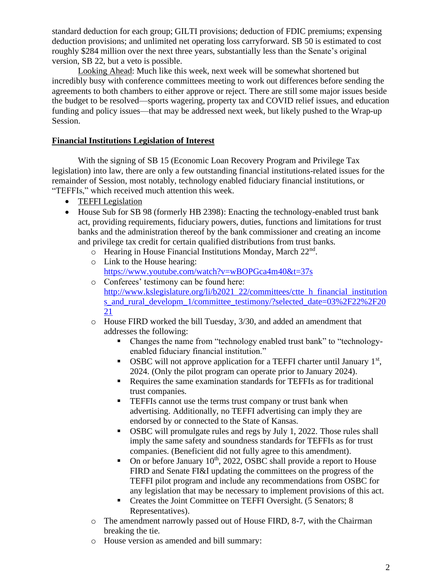standard deduction for each group; GILTI provisions; deduction of FDIC premiums; expensing deduction provisions; and unlimited net operating loss carryforward. SB 50 is estimated to cost roughly \$284 million over the next three years, substantially less than the Senate's original version, SB 22, but a veto is possible.

Looking Ahead: Much like this week, next week will be somewhat shortened but incredibly busy with conference committees meeting to work out differences before sending the agreements to both chambers to either approve or reject. There are still some major issues beside the budget to be resolved—sports wagering, property tax and COVID relief issues, and education funding and policy issues—that may be addressed next week, but likely pushed to the Wrap-up Session.

#### **Financial Institutions Legislation of Interest**

With the signing of SB 15 (Economic Loan Recovery Program and Privilege Tax legislation) into law, there are only a few outstanding financial institutions-related issues for the remainder of Session, most notably, technology enabled fiduciary financial institutions, or "TEFFIs," which received much attention this week.

- TEFFI Legislation
- House Sub for SB 98 (formerly HB 2398): Enacting the technology-enabled trust bank act, providing requirements, fiduciary powers, duties, functions and limitations for trust banks and the administration thereof by the bank commissioner and creating an income and privilege tax credit for certain qualified distributions from trust banks.
	- o Hearing in House Financial Institutions Monday, March 22<sup>nd</sup>.
	- o Link to the House hearing: <https://www.youtube.com/watch?v=wBOPGca4m40&t=37s>
	- o Conferees' testimony can be found here: [http://www.kslegislature.org/li/b2021\\_22/committees/ctte\\_h\\_financial\\_institution](http://www.kslegislature.org/li/b2021_22/committees/ctte_h_financial_institutions_and_rural_developm_1/committee_testimony/?selected_date=03%2F22%2F2021) s and rural developm 1/committee testimony/?selected date=03%2F22%2F20 [21](http://www.kslegislature.org/li/b2021_22/committees/ctte_h_financial_institutions_and_rural_developm_1/committee_testimony/?selected_date=03%2F22%2F2021)
	- o House FIRD worked the bill Tuesday, 3/30, and added an amendment that addresses the following:
		- Changes the name from "technology enabled trust bank" to "technologyenabled fiduciary financial institution."
		- OSBC will not approve application for a TEFFI charter until January  $1<sup>st</sup>$ , 2024. (Only the pilot program can operate prior to January 2024).
		- Requires the same examination standards for TEFFIs as for traditional trust companies.
		- **EXTERE** cannot use the terms trust company or trust bank when advertising. Additionally, no TEFFI advertising can imply they are endorsed by or connected to the State of Kansas.
		- OSBC will promulgate rules and regs by July 1, 2022. Those rules shall imply the same safety and soundness standards for TEFFIs as for trust companies. (Beneficient did not fully agree to this amendment).
		- On or before January  $10^{th}$ , 2022, OSBC shall provide a report to House FIRD and Senate FI&I updating the committees on the progress of the TEFFI pilot program and include any recommendations from OSBC for any legislation that may be necessary to implement provisions of this act.
		- Creates the Joint Committee on TEFFI Oversight. (5 Senators; 8 Representatives).
	- o The amendment narrowly passed out of House FIRD, 8-7, with the Chairman breaking the tie.
	- o House version as amended and bill summary: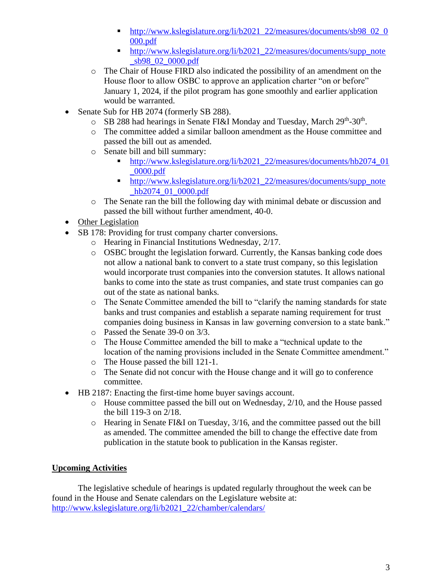- [http://www.kslegislature.org/li/b2021\\_22/measures/documents/sb98\\_02\\_0](http://www.kslegislature.org/li/b2021_22/measures/documents/sb98_02_0000.pdf) [000.pdf](http://www.kslegislature.org/li/b2021_22/measures/documents/sb98_02_0000.pdf)
- [http://www.kslegislature.org/li/b2021\\_22/measures/documents/supp\\_note](http://www.kslegislature.org/li/b2021_22/measures/documents/supp_note_sb98_02_0000.pdf) [\\_sb98\\_02\\_0000.pdf](http://www.kslegislature.org/li/b2021_22/measures/documents/supp_note_sb98_02_0000.pdf)
- o The Chair of House FIRD also indicated the possibility of an amendment on the House floor to allow OSBC to approve an application charter "on or before" January 1, 2024, if the pilot program has gone smoothly and earlier application would be warranted.
- Senate Sub for HB 2074 (formerly SB 288).
	- o SB 288 had hearings in Senate FI&I Monday and Tuesday, March 29<sup>th</sup>-30<sup>th</sup>.
	- o The committee added a similar balloon amendment as the House committee and passed the bill out as amended.
	- o Senate bill and bill summary:
		- [http://www.kslegislature.org/li/b2021\\_22/measures/documents/hb2074\\_01](http://www.kslegislature.org/li/b2021_22/measures/documents/hb2074_01_0000.pdf) [\\_0000.pdf](http://www.kslegislature.org/li/b2021_22/measures/documents/hb2074_01_0000.pdf)
		- [http://www.kslegislature.org/li/b2021\\_22/measures/documents/supp\\_note](http://www.kslegislature.org/li/b2021_22/measures/documents/supp_note_hb2074_01_0000.pdf) hb<sub>2074</sub>\_01\_0000.pdf
	- o The Senate ran the bill the following day with minimal debate or discussion and passed the bill without further amendment, 40-0.
- Other Legislation
- SB 178: Providing for trust company charter conversions.
	- o Hearing in Financial Institutions Wednesday, 2/17.
	- o OSBC brought the legislation forward. Currently, the Kansas banking code does not allow a national bank to convert to a state trust company, so this legislation would incorporate trust companies into the conversion statutes. It allows national banks to come into the state as trust companies, and state trust companies can go out of the state as national banks.
	- o The Senate Committee amended the bill to "clarify the naming standards for state banks and trust companies and establish a separate naming requirement for trust companies doing business in Kansas in law governing conversion to a state bank."
	- o Passed the Senate 39-0 on 3/3.
	- o The House Committee amended the bill to make a "technical update to the location of the naming provisions included in the Senate Committee amendment."
	- o The House passed the bill 121-1.
	- o The Senate did not concur with the House change and it will go to conference committee.
- HB 2187: Enacting the first-time home buyer savings account.
	- o House committee passed the bill out on Wednesday, 2/10, and the House passed the bill 119-3 on 2/18.
	- o Hearing in Senate FI&I on Tuesday, 3/16, and the committee passed out the bill as amended. The committee amended the bill to change the effective date from publication in the statute book to publication in the Kansas register.

### **Upcoming Activities**

The legislative schedule of hearings is updated regularly throughout the week can be found in the House and Senate calendars on the Legislature website at: [http://www.kslegislature.org/li/b2021\\_22/chamber/calendars/](http://www.kslegislature.org/li/b2021_22/chamber/calendars/)